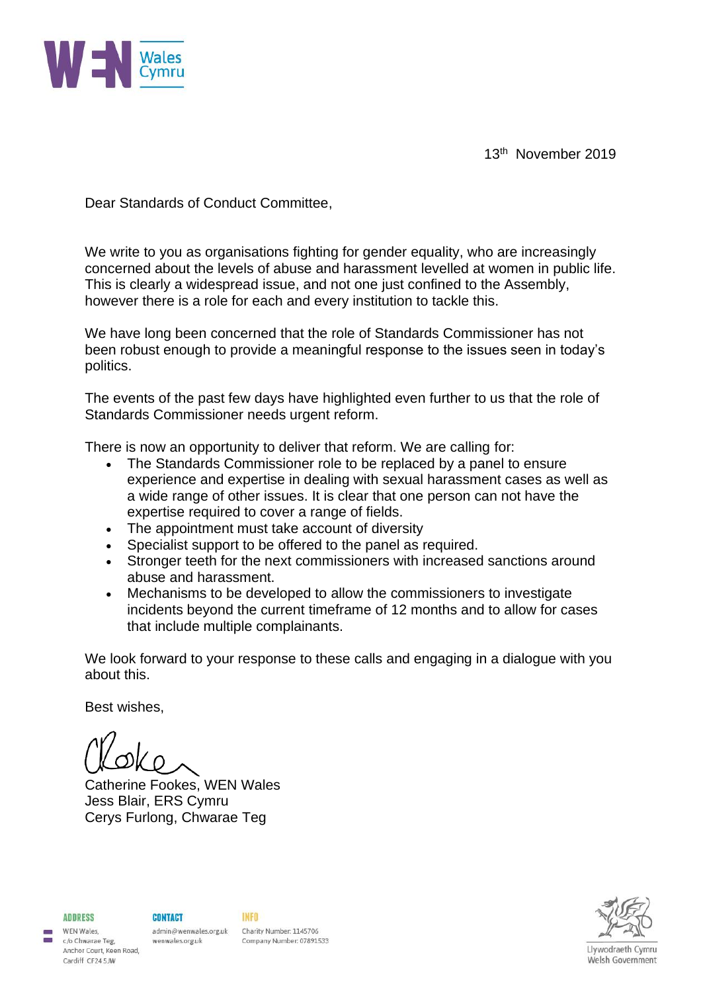

13th November 2019

Dear Standards of Conduct Committee,

We write to you as organisations fighting for gender equality, who are increasingly concerned about the levels of abuse and harassment levelled at women in public life. This is clearly a widespread issue, and not one just confined to the Assembly, however there is a role for each and every institution to tackle this.

We have long been concerned that the role of Standards Commissioner has not been robust enough to provide a meaningful response to the issues seen in today's politics.

The events of the past few days have highlighted even further to us that the role of Standards Commissioner needs urgent reform.

There is now an opportunity to deliver that reform. We are calling for:

- The Standards Commissioner role to be replaced by a panel to ensure experience and expertise in dealing with sexual harassment cases as well as a wide range of other issues. It is clear that one person can not have the expertise required to cover a range of fields.
- The appointment must take account of diversity
- Specialist support to be offered to the panel as required.
- Stronger teeth for the next commissioners with increased sanctions around abuse and harassment.
- Mechanisms to be developed to allow the commissioners to investigate incidents beyond the current timeframe of 12 months and to allow for cases that include multiple complainants.

We look forward to your response to these calls and engaging in a dialogue with you about this.

Best wishes,

Catherine Fookes, WEN Wales Jess Blair, ERS Cymru Cerys Furlong, Chwarae Teg



**ADDRESS** WFN Wales

c/o Chwarae Teg,

Cardiff CF24 5JW

Anchor Court, Keen Road,

**CONTACT** wenwales.org.uk

admin@wenwales.org.uk Charity Number: 1145706 Company Number: 07891533

**INFO**